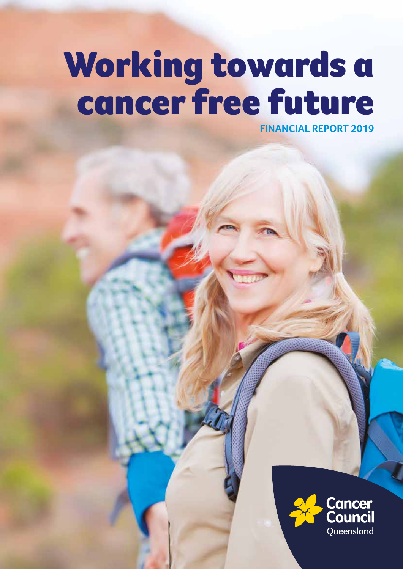# Working towards a cancer free future

**FINANCIAL REPORT 2019**

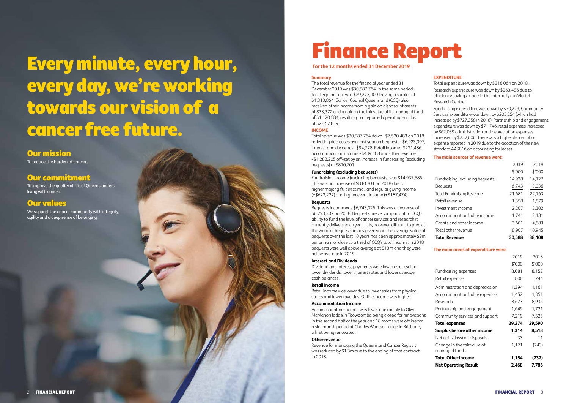#### **Summary**

The total revenue for the financial year ended 31 December 2019 was \$30,587,764. In the same period, total expenditure was \$29,273,900 leaving a surplus of \$1,313,864. Cancer Council Queensland (CCQ) also received other income from a gain on disposal of assets of \$33,372 and a gain in the fair value of its managed fund of \$1,120,584, resulting in a reported operating surplus of \$2,467,819.

#### **INCOME**

Total revenue was \$30,587,764 down -\$7,520,483 on 2018 reflecting decreases over last year on bequests -\$6,923,307, Interest and dividends -\$94,778, Retail income -\$221,486, accommodation income -\$439,408 and other revenue -\$1,282,205 off-set by an increase in fundraising (excluding bequests) of \$810,701.

#### **Fundraising (excluding bequests)**

Fundraising income (excluding bequests) was \$14,937,585. This was an increase of \$810,701 on 2018 due to higher major gift, direct mail and regular giving income (+\$623,227) and higher event income (+\$187,474).

#### **Bequests**

Bequests income was \$6,743,025. This was a decrease of \$6,293,307 on 2018. Bequests are very important to CCQ's ability to fund the level of cancer services and research it currently delivers each year. It is, however, difficult to predict the value of bequests in any given year. The average value of bequests over the last 10 years has been approximately \$9m per annum or close to a third of CCQ's total income. In 2018 bequests were well above average at \$13m and they were below average in 2019.

#### **Interest and Dividends**

Dividend and interest payments were lower as a result of lower dividends, lower interest rates and lower average cash balances.

#### **Retail Income**

Retail income was lower due to lower sales from physical stores and lower royalties. Online income was higher.

#### **Accommodation Income**

Accommodation income was lower due mainly to Olive McMahon lodge in Toowoomba being closed for renovations in the second half of the year and 18 rooms were offline for a six- month period at Charles Wantsall lodge in Brisbane, whilst being renovated.

#### **Other revenue**

Revenue for managing the Queensland Cancer Registry was reduced by \$1.3m due to the ending of that contract in 2018.



#### **EXPENDITURE**

Total expenditure was down by \$316,064 on 2018.

Research expenditure was down by \$263,486 due to efficiency savings made in the Internally run Viertel Research Centre.

Fundraising expenditure was down by \$70,223, Community Services expenditure was down by \$205,254 (which had increased by \$727,358 in 2018), Partnership and engagement expenditure was down by \$71,746, retail expenses increased by \$62,039 administration and depreciation expenses increased by \$232,606. There was a higher depreciation expense reported in 2019 due to the adoption of the new standard AASB16 on accounting for leases.

#### **The main sources of revenue were:**

#### **For the 12 months ended 31 December 2019**

# Finance Report

|                                              | 2019   | 2018   |
|----------------------------------------------|--------|--------|
|                                              | \$'000 | \$'000 |
| Fundraising (excluding bequests)             | 14,938 | 14,127 |
| Bequests                                     | 6,743  | 13,036 |
| <b>Total Fundraising Revenue</b>             | 21,681 | 27,163 |
| Retail revenue                               | 1,358  | 1,579  |
| Investment income                            | 2,207  | 2,302  |
| Accommodation lodge income                   | 1,741  | 2,181  |
| Grants and other income                      | 3,601  | 4,883  |
| Total other revenue                          | 8,907  | 10,945 |
| <b>Total Revenue</b>                         | 30,588 | 38,108 |
| The main areas of expenditure were:          |        |        |
|                                              | 2019   | 2018   |
|                                              | \$'000 | \$'000 |
| Fundraising expenses                         | 8,081  | 8,152  |
| Retail expenses                              | 806    | 744    |
| Administration and depreciation              | 1,394  | 1,161  |
| Accommodation lodge expenses                 | 1,452  | 1,351  |
| Research                                     | 8,673  | 8,936  |
| Partnership and engagement                   | 1,649  | 1,721  |
| Community services and support               | 7,219  | 7,525  |
| <b>Total expenses</b>                        | 29,274 | 29,590 |
| Surplus before other income                  | 1,314  | 8,518  |
| Net gain/(loss) on disposals                 | 33     | 11     |
| Change in the fair value of<br>managed funds | 1,121  | (743)  |
| <b>Total Other Income</b>                    | 1,154  | (732)  |
| <b>Net Operating Result</b>                  | 2,468  | 7,786  |

### Our mission

To reduce the burden of cancer.

### Our commitment

To improve the quality of life of Queenslanders living with cancer.

### Our values

We support the cancer community with integrity, agility and a deep sense of belonging.

## Every minute, every hour, every day, we're working towards our vision of a cancer free future.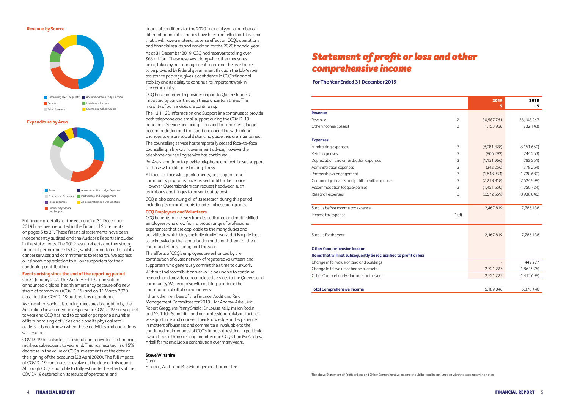### *Statement of profit or loss and other comprehensive income*

#### **For The Year Ended 31 December 2019**

#### **Revenue**

|                                                                    |                | 2019          | 2018<br>\$    |
|--------------------------------------------------------------------|----------------|---------------|---------------|
| <b>Revenue</b>                                                     |                |               |               |
| Revenue                                                            | $\overline{2}$ | 30,587,764    | 38,108,247    |
| Other income/(losses)                                              | $\overline{2}$ | 1,153,956     | (732, 143)    |
| <b>Expenses</b>                                                    |                |               |               |
| Fundraising expenses                                               | 3              | (8,081,428)   | (8, 151, 650) |
| Retail expenses                                                    | 3              | (806, 292)    | (744, 253)    |
| Depreciation and amortisation expenses                             | 3              | (1, 151, 966) | (783, 351)    |
| Administration expenses                                            | 3              | (242, 256)    | (378, 264)    |
| Partnership & engagement                                           | 3              | (1,648,934)   | (1,720,680)   |
| Community services and public health expenses                      | 3              | (7,218,818)   | (7,524,998)   |
| Accommodation lodge expenses                                       | 3              | (1,451,650)   | (1,350,724)   |
| Research expenses                                                  | 3              | (8,672,559)   | (8,936,045)   |
| Surplus before income tax expense                                  |                | 2,467,819     | 7,786,138     |
| Income tax expense                                                 | 1(d)           |               |               |
| Surplus for the year                                               |                | 2,467,819     | 7,786,138     |
| <b>Other Comprehensive Income</b>                                  |                |               |               |
| Items that will not subsequently be reclassified to profit or loss |                |               |               |
| Change in fair value of land and buildings                         |                |               | 449,277       |
| Change in fair value of financial assets                           |                | 2,721,227     | (1,864,975)   |
| Other Comprehensive Income for the year                            |                | 2,721,227     | (1,415,698)   |
| <b>Total Comprehensive Income</b>                                  |                | 5,189,046     | 6,370,440     |

#### **Expenses**

#### Surplus for the year

#### **Total Comprehensive Income**

#### **Other Comprehensive Income**





#### **Revenue by Source**

#### **Expenditure by Area**

financial conditions for the 2020 financial year, a number of different financial scenarios have been modelled and it is clear that it will have a material adverse effect on CCQ's operations and financial results and condition for the 2020 financial year.

As at 31 December 2019, CCQ had reserves totalling over \$63 million. These reserves, along with other measures being taken by our management team and the assistance to be provided by federal government through the JobKeeper assistance package, give us confidence in CCQ's financial stability and its ability to continue its important work in the community.

CCQ has continued to provide support to Queenslanders impacted by cancer through these uncertain times. The majority of our services are continuing.

The 13 11 20 Information and Support line continues to provide both telephone and email support during the COVID-19 pandemic. Services including Transport to Treatment, lodge accommodation and transport are operating with minor changes to ensure social distancing guidelines are maintained.

The counselling service has temporarily ceased face-to-face counselling in line with government advice, however the telephone counselling service has continued.

Pal Assist continue to provide telephone and text-based support to those with a lifetime limiting illness.

All face-to-face wig appointments, peer support and community programs have ceased until further notice. However, Queenslanders can request headwear, such as turbans and fringes to be sent out by post.

CCQ is also continuing all of its research during this period including its commitments to external research grants.

#### **CCQ Employees and Volunteers**

CCQ benefits immensely from its dedicated and multi-skilled employees, who draw from a broad range of professional experiences that are applicable to the many duties and activities in which they are individually involved. It is a privilege to acknowledge their contribution and thank them for their continued efforts throughout the year.

The efforts of CCQ's employees are enhanced by the contribution of a vast network of registered volunteers and supporters who generously commit their time to our work.

Without their contribution we would be unable to continue research and provide cancer-related services to the Queensland community. We recognise with abiding gratitude the contribution of all of our volunteers.

I thank the members of the Finance, Audit and Risk Management Committee for 2019 – Mr Andrew Arkell, Mr Robert Gregg, Ms Penny Shield, Dr Louise Kelly, Mr Ian Rodin and Ms Tricia Schmidt – and our professional advisors for their wise guidance and counsel. Their knowledge and experience in matters of business and commerce is invaluable to the continued maintenance of CCQ's financial position. In particular I would like to thank retiring member and CCQ Chair Mr Andrew Arkell for his invaluable contribution over many years.

#### **Steve Wiltshire**

Chair Finance, Audit and Risk Management Committee

Full financial details for the year ending 31 December 2019 have been reported in the Financial Statements on pages 5 to 31. These financial statements have been independently audited and the Auditor's Report is included in the statements. The 2019 result reflects another strong financial performance by CCQ whilst it maintained all of its cancer services and commitments to research. We express our sincere appreciation to all our supporters for their continuing contribution.

#### **Events arising since the end of the reporting period**

On 31 January 2020 the World Health Organisation announced a global health emergency because of a new strain of coronavirus (COVID-19) and on 11 March 2020 classified the COVID-19 outbreak as a pandemic.

As a result of social distancing measures brought in by the Australian Government in response to COVID-19, subsequent to year end CCQ has had to cancel or postpone a number of its fundraising activities and close its physical retail outlets. It is not known when these activities and operations will resume.

COVID-19 has also led to a significant downturn in financial markets subsequent to year end. This has resulted in a 15% decrease in the value of CCQ's investments at the date of the signing of the accounts (28 April 2020). The full impact of COVID-19 continues to evolve at the date of this report. Although CCQ is not able to fully estimate the effects of the COVID-19 outbreak on its results of operations and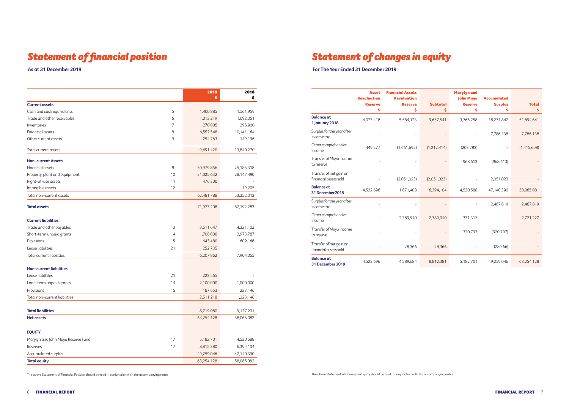### *Statement of financial position*

#### **As at 31 December 2019**

|                                    |    | 2019       | 2018       |
|------------------------------------|----|------------|------------|
|                                    |    | \$         | \$         |
| <b>Current assets</b>              |    |            |            |
| Cash and cash equivalents          | 5  | 1,400,885  | 1,561,959  |
| Trade and other receivables        | 6  | 1,013,219  | 1,692,051  |
| Inventories                        | 7  | 270,005    | 295,900    |
| Financial assets                   | 8  | 6,552,548  | 10,141,164 |
| Other current assets               | 9  | 254,763    | 149,196    |
| Total current assets               |    | 9,491,420  | 13,840,270 |
| <b>Non-current Assets</b>          |    |            |            |
| Financial assets                   | 8  | 30,979,856 | 25,185,318 |
| Property, plant and equipment      | 10 | 31,025,632 | 28,147,490 |
| Right-of-use assets                | 11 | 476,300    |            |
| Intangible assets                  | 12 |            | 19,205     |
| Total non-current assets           |    | 62,481,788 | 53,352,013 |
| <b>Total assets</b>                |    | 71,973,208 | 67,192,283 |
| <b>Current liabilities</b>         |    |            |            |
| Trade and other payables           | 13 | 3,611,647  | 4,321,102  |
| Short-term unpaid grants           | 14 | 1,700,000  | 2,973,787  |
| Provisions                         | 15 | 643,480    | 609,166    |
| Lease liabilities                  | 21 | 252,735    |            |
| Total current liabilities          |    | 6,207,862  | 7,904,055  |
| <b>Non-current liabilities</b>     |    |            |            |
| Lease liabilities                  | 21 | 223,565    |            |
| Long-term unpaid grants            | 14 | 2,100,000  | 1,000,000  |
| Provisions                         | 15 | 187,653    | 223,146    |
| Total non-current liabilities      |    | 2,511,218  | 1,223,146  |
|                                    |    |            |            |
| <b>Total liabilities</b>           |    | 8,719,080  | 9,127,201  |
| <b>Net assets</b>                  |    | 63,254,128 | 58,065,082 |
| <b>EQUITY</b>                      |    |            |            |
| Marylyn and John Mayo Reserve Fund | 17 | 5,182,701  | 4,530,588  |
| Reserves                           | 17 | 8,812,380  | 6,394,104  |
| Accumulated surplus                |    | 49,259,046 | 47,140,390 |
| <b>Total equity</b>                |    | 63,254,128 | 58,065,082 |

The above Statement of Financial Position should be read in conjunction with the accompanying notes

*Statement of changes in equity*



|                                                  | <b>Asset</b><br><b>Revaluation</b><br><b>Reserve</b><br>S | <b>Financial Assets</b><br><b>Revaluation</b><br><b>Reserve</b><br>\$ | <b>Subtotal</b> | <b>Marylyn and</b><br><b>John Mayo</b><br><b>Reserve</b><br>\$ | <b>Accumulated</b><br><b>Surplus</b><br>\$ | <b>Total</b><br>S |
|--------------------------------------------------|-----------------------------------------------------------|-----------------------------------------------------------------------|-----------------|----------------------------------------------------------------|--------------------------------------------|-------------------|
| <b>Balance at</b><br>1 January 2018              | 4,073,418                                                 | 5,584,123                                                             | 9,657,541       | 3,765,258                                                      | 38,271,842                                 | 51,694,641        |
| Surplus for the year after<br>income tax         |                                                           |                                                                       |                 |                                                                | 7,786,138                                  | 7,786,138         |
| Other comprehensive<br>income                    | 449,277                                                   | (1,661,692)                                                           | (1, 212, 414)   | (203, 283)                                                     |                                            | (1,415,698)       |
| Transfer of Mayo income<br>to reserve            |                                                           |                                                                       |                 | 968,613                                                        | (968, 613)                                 |                   |
| Transfer of net gain on<br>financial assets sold |                                                           | (2,051,023)                                                           | (2,051,023)     |                                                                | 2,051,023                                  |                   |
| <b>Balance at</b><br><b>31 December 2018</b>     | 4,522,696                                                 | 1,871,408                                                             | 6,394,104       | 4,530,588                                                      | 47,140,390                                 | 58,065,081        |
| Surplus for the year after<br>income tax         |                                                           |                                                                       |                 |                                                                | 2,467,819                                  | 2,467,819         |
| Other comprehensive<br>income                    |                                                           | 2,389,910                                                             | 2,389,910       | 331,317                                                        |                                            | 2,721,227         |
| Transfer of Mayo income<br>to reserve            |                                                           |                                                                       |                 | 320,797                                                        | (320, 797)                                 |                   |
| Transfer of net gain on<br>financial assets sold |                                                           | 28,366                                                                | 28,366          |                                                                | (28, 366)                                  |                   |
| <b>Balance at</b><br><b>31 December 2019</b>     | 4,522,696                                                 | 4,289,684                                                             | 8,812,381       | 5,182,701                                                      | 49,259,046                                 | 63,254,128        |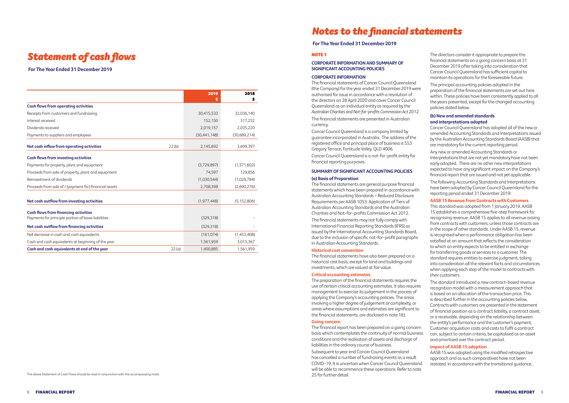The above Statement of Cash Flows should be read in conjunction with the accompanying notes

### *Statement of cash flows*

#### **For The Year Ended 31 December 2019**

|                                                        |       | 2019           | 2018          |
|--------------------------------------------------------|-------|----------------|---------------|
|                                                        |       |                | \$            |
| <b>Cash flows from operating activities</b>            |       |                |               |
| Receipts from customers and fundraising                |       | 30,415,533     | 32,036,140    |
| Interest received                                      |       | 152,150        | 317,252       |
| Dividends received                                     |       | 2,019,157      | 2,035,220     |
| Payments to suppliers and employees                    |       | (30, 441, 148) | (30,689,214)  |
| Net cash inflow from operating activities              | 22(b) | 2,145,692      | 3,699,397     |
| <b>Cash flows from investing activities</b>            |       |                |               |
| Payments for property, plant and equipment             |       | (3,729,897)    | (1,571,602)   |
| Proceeds from sale of property, plant and equipment    |       | 74,597         | 129,856       |
| Reinvestment of dividends                              |       | (1,030,544)    | (1,020,784)   |
| Proceeds from sale of / (payment for) financial assets |       | 2,708,398      | (2,690,276)   |
| Net cash outflow from investing activities             |       | (1, 977, 448)  | (5, 152, 806) |
| <b>Cash flows from financing activities</b>            |       |                |               |
| Payments for principle portion of lease liabilities    |       | (329, 318)     |               |
| Net cash outflow from financing activities             |       | (329, 318)     |               |
| Net decrease in cash and cash equivalents              |       | (161, 074)     | (1,453,408)   |
| Cash and cash equivalents at beginning of the year     |       | 1,561,959      | 3,015,367     |
| Cash and cash equivalents at end of the year           | 22(a) | 1,400,885      | 1,561,959     |

#### NOTE 1

#### **CORPORATE INFORMATION AND SUMMARY OF SIGNIFICANT ACCOUNTING POLICIES**

#### **CORPORATE INFORMATION**

The financial statements of Cancer Council Queensland (the Company) for the year ended 31 December 2019 were authorised for issue in accordance with a resolution of the directors on 28 April 2020 and cover Cancer Council Queensland as an individual entity as required by the *Australian Charities and Not-for-profits Commission Act 2012.* 

The financial statements are presented in Australian currency.

Cancer Council Queensland is a company limited by guarantee incorporated in Australia. The address of the registered office and principal place of business is 553 Gregory Terrace, Fortitude Valley, QLD 4006.

Cancer Council Queensland is a not-for-profit entity for financial reporting purposes.

#### **SUMMARY OF SIGNIFICANT ACCOUNTING POLICIES (a) Basis of Preparation**

The financial statements are general purpose financial statements which have been prepared in accordance with Australian Accounting Standards – Reduced Disclosure Requirements per AASB 1053: Application of Tiers of Australian Accounting Standards and the Australian Charities and Not-for-profits Commission Act 2012.

The financial statements may not fully comply with International Financial Reporting Standards (IFRS) as issued by the International Accounting Standards Board, due to the inclusion of specific not-for-profit paragraphs in Australian Accounting Standards.

#### **Historical cost convention**

The financial statements have also been prepared on a historical cost basis, except for land and buildings and investments, which are valued at fair value.

#### **Critical accounting estimates**

The preparation of the financial statements requires the use of certain critical accounting estimates. It also requires management to exercise its judgement in the process of applying the Company's accounting policies. The areas involving a higher degree of judgement or complexity, or areas where assumptions and estimates are significant to the financial statements, are disclosed in note 1(t).

#### **Going concern**

The financial report has been prepared on a going concern basis which contemplates the continuity of normal business conditions and the realisation of assets and discharge of liabilities in the ordinary course of business.

Subsequent to year end Cancer Council Queensland has cancelled a number of fundraising events as a result COVID-19. It is uncertain when Cancer Council Queensland will be able to recommence these operations. Refer to note 25 for further detail.



The directors consider it appropriate to prepare the financial statements on a going concern basis at 31 December 2019 after taking into consideration that Cancer Council Queensland has sufficient capital to maintain its operations for the foreseeable future.

The principal accounting policies adopted in the preparation of the financial statements are set out here within. These policies have been consistently applied to all the years presented, except for the changed accounting policies stated below.

#### **(b) New and amended standards and interpretations adopted**

Cancer Council Queensland has adopted all of the new or amended Accounting Standards and Interpretations issued by the Australian Accounting Standards Board (AASB) that are mandatory for the current reporting period.

Any new or amended Accounting Standards or Interpretations that are not yet mandatory have not been early adopted. There are no other new interpretations expected to have any significant impact on the Company's financial report that are issued and not yet applicable.

The following Accounting Standards and Interpretations have been adopted by Cancer Council Queensland for the reporting period ended 31 December 2019:

#### **AASB 15 Revenue from Contracts with Customers**

This standard was adopted from 1 January 2019. AASB 15 establishes a comprehensive five-step framework for recognising revenue. AASB 15 applies to all revenue arising from contracts with customers, unless those contracts are in the scope of other standards. Under AASB 15, revenue is recognised when a performance obligation has been satisfied at an amount that reflects the consideration to which an entity expects to be entitled in exchange for transferring goods or services to a customer. The standard requires entities to exercise judgment, taking into consideration all the relevant facts and circumstances when applying each step of the model to contracts with their customers.

The standard introduced a new contract-based revenue recognition model with a measurement approach that is based on an allocation of the transaction price. This is described further in the accounting policies below. Contracts with customers are presented in the statement of financial position as a contract liability, a contract asset, or a receivable, depending on the relationship between the entity's performance and the customer's payment. Customer acquisition costs and costs to fulfil a contract can, subject to certain criteria, be capitalised as an asset and amortised over the contract period.

#### **Impact of AASB 15 adoption**

AASB 15 was adopted using the modified retrospective approach and as such comparatives have not been restated. In accordance with the transitional guidance,

### *Notes to the financial statements*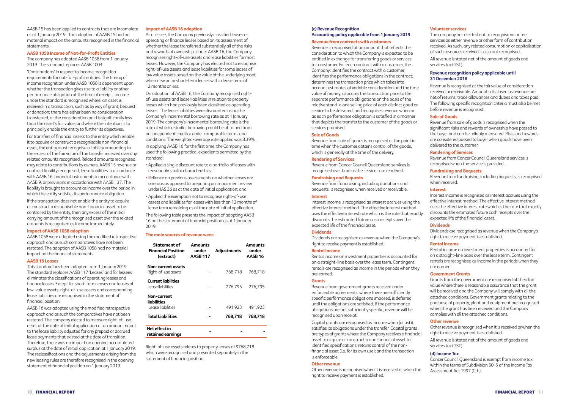AASB 15 has been applied to contracts that are incomplete as at 1 January 2019. The adoption of AASB 15 had no material impact on the amounts recognised in the financial statements.

#### **AASB 1058 Income of Not-for-Profit Entities**

The company has adopted AASB 1058 from 1 January 2019. The standard replaces AASB 1004

'Contributions' in respect to income recognition requirements for not-for-profit entities. The timing of income recognition under AASB 1058 is dependent upon whether the transaction gives rise to a liability or other performance obligation at the time of receipt. Income under the standard is recognised where: an asset is received in a transaction, such as by way of grant, bequest or donation; there has either been no consideration transferred, or the consideration paid is significantly less than the asset's fair value; and where the intention is to principally enable the entity to further its objectives.

For transfers of financial assets to the entity which enable it to acquire or construct a recognisable non-financial asset, the entity must recognise a liability amounting to the excess of the fair value of the transfer received over any related amounts recognised. Related amounts recognised may relate to contributions by owners, AASB 15 revenue or contract liability recognised, lease liabilities in accordance with AASB 16, financial instruments in accordance with AASB 9, or provisions in accordance with AASB 137. The liability is brought to account as income over the period in which the entity satisfies its performance obligation.

If the transaction does not enable the entity to acquire or construct a recognisable non-financial asset to be controlled by the entity, then any excess of the initial carrying amount of the recognised asset over the related amounts is recognised as income immediately.

#### **Impact of AASB 1058 adoption**

AASB 1058 were adopted using the modified retrospective approach and as such comparatives have not been restated. The adoption of AASB 1058 had no material impact on the financial statements.

#### **AASB 16 Leases**

This standard has been adopted from 1 January 2019. The standard replaces AASB 117 'Leases' and for lessees eliminates the classifications of operating leases and finance leases. Except for short-term leases and leases of low-value assets, right-of-use assets and corresponding lease liabilities are recognised in the statement of financial position.

AASB 16 was adopted using the modified retrospective approach and as such the comparatives have not been restated. The company elected to measure right-of-use asset at the date of initial application at an amount equal to the lease liability adjusted for any prepaid or accrued lease payments that existed at the date of transition. Therefore, there was no impact on opening accumulated surplus at the date of initial application at 1 January 2019. The reclassifications and the adjustments arising from the new leasing rules are therefore recognised in the opening statement of financial position on 1 January 2019.

#### **Impact of AASB 16 adoption**

As a lessee, the Company previously classified leases as operating or finance leases based on its assessment of whether the lease transferred substantially all of the risks and rewards of ownership. Under AASB 16, the Company recognises right-of-use assets and lease liabilities for most leases. However, the Company has elected not to recognise right-of-use assets and lease liabilities for some leases of low value assets based on the value of the underlying asset when new or for short-term leases with a lease term of 12 months or less.

On adoption of AASB 16, the Company recognised rightof-use assets and lease liabilities in relation to property leases which had previously been classified as operating leases. The lease liabilities were discounted using the Company's incremental borrowing rate as at 1 January 2019. The company's incremental borrowing rate is the rate at which a similar borrowing could be obtained from an independent creditor under comparable terms and conditions. The weighted-average rate applied was 8.39%. In applying AASB 16 for the first time, the Company has used the following practical expedients permitted by the standard:

- Applied a single discount rate to a portfolio of leases with reasonably similar characteristics;
- Reliance on previous assessments on whether leases are onerous as opposed to preparing an impairment review under IAS 36 as at the date of initial application; and
- Applied the exemption not to recognise right-of-use assets and liabilities for leases with less than 12 months of lease term remaining as of the date of initial application.

The following table presents the impact of adopting AASB 16 on the statement of financial position as at 1 January 2019:

#### **The main sources of revenue were:**

| Statement of<br><b>Financial Position</b><br>(extract) | Amounts<br>under<br><b>AASB 117</b> | Adjustments | Amounts<br>under<br>AASB <sub>16</sub> |
|--------------------------------------------------------|-------------------------------------|-------------|----------------------------------------|
| <b>Non-current assets</b><br>Right-of-use assets       |                                     | 768.718     | 768.718                                |
| <b>Current liabilities</b><br>Lease liabilities        |                                     | 276.795     | 276.795                                |
| Non-current<br>liabilities<br>Lease liabilities        |                                     | 491.923     | 491.923                                |
| <b>Total Liabilities</b>                               |                                     | 768,718     | 768,718                                |
| Net effect in<br>retained earnings                     |                                     |             |                                        |

Right-of-use assets relates to property leases of \$768,718 which were recognised and presented separately in the statement of financial position.

#### **(c) Revenue Recognition Accounting policy applicable from 1 January 2019**

#### **Revenue from contracts with customers**

Revenue is recognised at an amount that reflects the consideration to which the Company is expected to be entitled in exchange for transferring goods or services to a customer. For each contract with a customer, the Company: identifies the contract with a customer; identifies the performance obligations in the contract; determines the transaction price which takes into account estimates of variable consideration and the time value of money; allocates the transaction price to the separate performance obligations on the basis of the relative stand-alone selling price of each distinct good or service to be delivered; and recognises revenue when or as each performance obligation is satisfied in a manner that depicts the transfer to the customer of the goods or services promised.

#### **Sale of Goods**

Revenue from sale of goods is recognised at the point in time when the customer obtains control of the goods, which is generally at the time of the delivery.

#### **Rendering of Services**

Revenue from Cancer Council Queensland services is recognised over time as the services are rendered.

#### **Fundraising and Bequests**

Revenue from fundraising, including donations and bequests, is recognised when received or receivable.

#### **Interest**

Interest income is recognised as interest accrues using the effective interest method. The effective interest method uses the effective interest rate which is the rate that exactly discounts the estimated future cash receipts over the expected life of the financial asset.

#### **Dividends**

Dividends are recognised as revenue when the Company's right to receive payment is established.

#### **Rental Income**

Rental income on investment properties is accounted for on a straight-line basis over the lease term. Contingent rentals are recognised as income in the periods when they are earned.

#### **Grants**

Revenue from government grants received under enforceable agreements, where there are sufficiently specific performance obligations imposed, is deferred until the obligations are satisfied. If the performance obligations are not sufficiently specific, revenue will be recognised upon receipt.

Capital grants are recognised as income when (or as) it satisfies its obligations under the transfer. Capital grants are types of grants where the Company receives a financial asset to acquire or construct a non-financial asset to identified specifications; retains control of the nonfinancial asset (i.e. for its own use); and the transaction is enforceable.

#### **Other revenue**

Other revenue is recognised when it is received or when the right to receive payment is established.

#### **Volunteer services**

The company has elected not to recognise volunteer services as either revenue or other form of contribution received. As such, any related consumption or capitalisation of such resources received is also not recognised.

All revenue is stated net of the amount of goods and services tax (GST).

#### **Revenue recognition policy applicable until 31 December 2018**

Revenue is recognised at the fair value of consideration received or receivable. Amounts disclosed as revenue are net of returns, trade allowances and duties and taxes paid. The following specific recognition criteria must also be met before revenue is recognised:

#### **Sale of Goods**

Revenue from sale of goods is recognised when the significant risks and rewards of ownership have passed to the buyer and can be reliably measured. Risks and rewards are considered passed to buyer when goods have been delivered to the customer.

#### **Rendering of Services**

Revenue from Cancer Council Queensland services is recognised when the service is provided.

#### **Fundraising and Bequests**

Revenue from fundraising, including bequests, is recognised when received.

#### **Interest**

Interest income is recognised as interest accrues using the effective interest method. The effective interest method uses the effective interest rate which is the rate that exactly discounts the estimated future cash receipts over the expected life of the financial asset.

#### **Dividends**

Dividends are recognised as revenue when the Company's right to receive payment is established.

#### **Rental Income**

Rental income on investment properties is accounted for on a straight-line basis over the lease term. Contingent rentals are recognised as income in the periods when they are earned.

#### **Government Grants**

Grants from the government are recognised at their fair value where there is reasonable assurance that the grant will be received and the Company will comply with all the attached conditions. Government grants relating to the purchase of property, plant and equipment are recognised when the grant has been received and the Company complies with all the attached conditions.

#### **Other revenue**

Other revenue is recognised when it is received or when the right to receive payment is established.

All revenue is stated net of the amount of goods and services tax (GST).

#### **(d) Income Tax**

Cancer Council Queensland is exempt from income tax within the terms of Subdivision 50-5 of the Income Tax Assessment Act 1997 (Cth).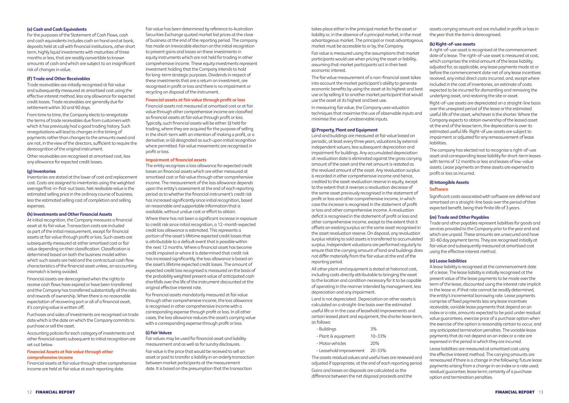#### **(e) Cash and Cash Equivalents**

For the purposes of the Statement of Cash Flows, cash and cash equivalents includes cash on hand and at bank, deposits held at call with financial institutions, other short term, highly liquid investments with maturities of three months or less, that are readily convertible to known amounts of cash and which are subject to an insignificant risk of changes in value.

#### **(f) Trade and Other Receivables**

Trade receivables are initially recognised at fair value and subsequently measured at amortised cost using the effective interest method, less any allowance for expected credit losses. Trade receivables are generally due for settlement within 30 and 90 days.

From time to time, the Company elects to renegotiate the terms of trade receivables due from customers with which it has previously had a good trading history. Such renegotiations will lead to changes in the timing of payments rather than changes to the amounts owed and are not, in the view of the directors, sufficient to require the derecognition of the original instrument.

Other receivables are recognised at amortised cost, less any allowance for expected credit losses.

#### **(g) Inventories**

Inventories are stated at the lower of cost and replacement cost. Costs are assigned to inventories using the weighted average/first-in-first-out basis. Net realisable value is the estimated selling price in the ordinary course of business, less the estimated selling cost of completion and selling expenses.

#### **(h) Investments and Other Financial Assets**

At initial recognition, the Company measures a financial asset at its fair value. Transaction costs are included as part of the initial measurement, except for financial assets at fair value through profit or loss. Such assets are subsequently measured at either amortised cost or fair value depending on their classification. Classification is determined based on both the business model within which such assets are held and the contractual cash flow characteristics of the financial asset unless, an accounting mismatch is being avoided.

Financial assets are derecognised when the rights to receive cash flows have expired or have been transferred and the Company has transferred substantially all the risks and rewards of ownership. When there is no reasonable expectation of recovering part or all of a financial asset, it's carrying value is written off.

Purchases and sales of investments are recognised on trade date which is the date on which the Company commits to purchase or sell the asset.

Accounting policies for each category of investments and other financial assets subsequent to initial recognition are set out below.

#### **Financial Assets at fair value through other comprehensive income**

Financial assets at fair value through other comprehensive income are held at fair value at each reporting date.

Fair value has been determined by reference to Australian Securities Exchange quoted market bid prices at the close of business at the end of the reporting period. The company has made an irrevocable election on the initial recognition to present gains and losses on these investments in equity instruments which are not held for trading in other comprehensive income. These equity investments represent investment holding that the Company intends to hold for long-term strategic purposes. Dividends in respect of these investments that are a return on investment, are recognised in profit or loss and there is no impairment or recycling on disposal of the instrument.

#### **Financial assets at fair value through profit or loss**

Financial assets not measured at amortised cost or at fair value through other comprehensive income are classified as financial assets at fair value through profit or loss. Typically, such financial assets will be either: (i) held for trading, where they are acquired for the purpose of selling in the short-term with an intention of making a profit, or a derivative; or (ii) designated as such upon initial recognition where permitted. Fair value movements are recognised in profit or loss.

#### **Impairment of financial assets**

The entity recognises a loss allowance for expected credit losses on financial assets which are either measured at amortised cost or fair value through other comprehensive income. The measurement of the loss allowance depends upon the entity's assessment at the end of each reporting period as to whether the financial instrument's credit risk has increased significantly since initial recognition, based on reasonable and supportable information that is available, without undue cost or effort to obtain.

Where there has not been a significant increase in exposure to credit risk since initial recognition, a 12-month expected credit loss allowance is estimated. This represents a portion of the asset's lifetime expected credit losses that is attributable to a default event that is possible within the next 12 months. Where a financial asset has become credit impaired or where it is determined that credit risk has increased significantly, the loss allowance is based on the asset's lifetime expected credit losses. The amount of expected credit loss recognised is measured on the basis of the probability weighted present value of anticipated cash shortfalls over the life of the instrument discounted at the original effective interest rate.

For financial assets mandatorily measured at fair value through other comprehensive income, the loss allowance is recognised in other comprehensive income with a corresponding expense through profit or loss. In all other cases, the loss allowance reduces the asset's carrying value with a corresponding expense through profit or loss.

#### **(i) Fair Values**

Fair values may be used for financial asset and liability measurement and as well as for sundry disclosures.

Fair value is the price that would be received to sell an asset or paid to transfer a liability in an orderly transaction between market participants at the measurement date. It is based on the presumption that the transaction

takes place either in the principal market for the asset or liability or, in the absence of a principal market, in the most advantageous market. The principal or most advantageous market must be accessible to or by, the Company.

Fair value is measured using the assumptions that market participants would use when pricing the asset or liability, assuming that market participants act in their best economic interest.

The fair value measurement of a non-financial asset takes into account the market participant's ability to generate economic benefits by using the asset at its highest and best use or by selling it to another market participant that would use the asset at its highest and best use.

In measuring fair value, the Company uses valuation techniques that maximise the use of observable inputs and minimise the use of unobservable inputs.

#### **(j) Property, Plant and Equipment**

Land and buildings are measured at fair value based on periodic, at least every three years, valuations by external independent valuers, less subsequent depreciation and impairment for buildings. Any accumulated depreciation at revaluation date is eliminated against the gross carrying amount of the asset and the net amount is restated as the revalued amount of the asset. Any revaluation surplus is recorded in other comprehensive income and hence, credited to the asset revaluation reserve in equity, except to the extent that it reverses a revaluation decrease of the same asset previously recognised in the statement of profit or loss and other comprehensive income, in which case the increase is recognised in the statement of profit or loss and other comprehensive income. A revaluation deficit is recognised in the statement of profit or loss and other comprehensive income, except to the extent that it offsets an existing surplus on the same asset recognised in the asset revaluation reserve. On disposal, any revaluation surplus relating to sold assets is transferred to accumulated surplus. Independent valuations are performed regularly to ensure that the carrying amount of land and buildings does not differ materially from the fair value at the end of the reporting period.

All other plant and equipment is stated at historical cost, including costs directly attributable to bringing the asset to the location and condition necessary for it to be capable of operating in the manner intended by management, less depreciation and any impairment.

Land is not depreciated. Depreciation on other assets is calculated on a straight-line basis over the estimated useful life or in the case of leasehold improvements and certain leased plant and equipment, the shorter lease term, as follows:

| - Buildings             | 3%         |
|-------------------------|------------|
| - Plant & equipment     | $10 - 33%$ |
| - Motor vehicles        | 20%        |
| - Leasehold improvement | 20-33%     |

The assets residual values and useful lives are reviewed and adjusted if appropriate, at the end of each reporting period.

Gains and losses on disposals are calculated as the difference between the net disposal proceeds and the

assets carrying amount and are included in profit or loss in the year that the item is derecognised.

#### **(k) Right-of-use assets**

A right-of-use asset is recognised at the commencement date of a lease. The right-of-use asset is measured at cost. which comprises the initial amount of the lease liability, adjusted for, as applicable, any lease payments made at or before the commencement date net of any lease incentives received, any initial direct costs incurred, and, except where included in the cost of inventories, an estimate of costs expected to be incurred for dismantling and removing the underlying asset, and restoring the site or asset.

Right-of-use assets are depreciated on a straight-line basis over the unexpired period of the lease or the estimated useful life of the asset, whichever is the shorter. Where the Company expects to obtain ownership of the leased asset at the end of the lease term, the depreciation is over its estimated useful life. Right-of use assets are subject to impairment or adjusted for any remeasurement of lease liabilities.

The company has elected not to recognise a right-of-use asset and corresponding lease liability for short-term leases with terms of 12 months or less and leases of low-value assets. Lease payments on these assets are expensed to profit or loss as incurred.

#### **(l) Intangible Assets Software**

Significant costs associated with software are deferred and amortised on a straight-line basis over the period of their expected benefit, being their finite life of 3 years.

#### **(m) Trade and Other Payables**

Trade and other payables represent liabilities for goods and services provided to the Company prior to the year end and which are unpaid. These amounts are unsecured and have 30-60 day payment terms. They are recognised initially at fair value and subsequently measured at amortised cost using the effective interest method.

#### **(n) Lease liabilities**

A lease liability is recognised at the commencement date of a lease. The lease liability is initially recognised at the present value of the lease payments to be made over the term of the lease, discounted using the interest rate implicit in the lease or, if that rate cannot be readily determined, the entity's incremental borrowing rate. Lease payments comprise of fixed payments less any lease incentives receivable, variable lease payments that depend on an index or a rate, amounts expected to be paid under residual value guarantees, exercise price of a purchase option when the exercise of the option is reasonably certain to occur, and any anticipated termination penalties. The variable lease payments that do not depend on an index or a rate are expensed in the period in which they are incurred.

Lease liabilities are measured at amortised cost using the effective interest method. The carrying amounts are remeasured if there is a change in the following: future lease payments arising from a change in an index or a rate used; residual guarantee; lease term; certainty of a purchase option and termination penalties.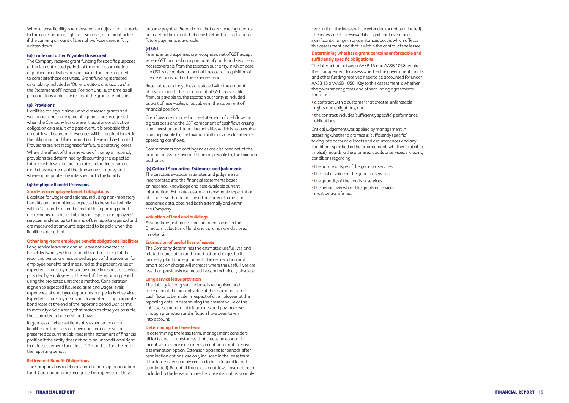When a lease liability is remeasured, an adjustment is made to the corresponding right-of use asset, or to profit or loss if the carrying amount of the right-of-use asset is fully written down.

#### **(o) Trade and other Payables Unsecured**

The Company receives grant funding for specific purposes either for contracted periods of time or for completion of particular activities irrespective of the time required to complete those activities. Grant funding is treated as a liability included in 'Other creditors and accruals' in the Statement of Financial Position until such time as all preconditions under the terms of the grant are satisfied.

#### **(p) Provisions**

Liabilities for legal claims, unpaid research grants and warranties and make good obligations are recognised when the Company has a present legal or constructive obligation as a result of a past event, it is probable that an outflow of economic resources will be required to settle the obligation and the amount can be reliably estimated. Provisions are not recognised for future operating losses. Where the effect of the time value of money is material, provisions are determined by discounting the expected future cashflows at a pre-tax rate that reflects current market assessments of the time value of money and where appropriate, the risks specific to the liability.

#### **(q) Employee Benefit Provisions**

#### **Short-term employee benefit obligations**

Liabilities for wages and salaries, including non-monetary benefits and annual leave expected to be settled wholly within 12 months after the end of the reporting period are recognised in other liabilities in respect of employees' services rendered up to the end of the reporting period and are measured at amounts expected to be paid when the liabilities are settled.

#### **Other long-term employee benefit obligations liabilities**

Long service leave and annual leave not expected to be settled wholly within 12 months after the end of the reporting period are recognised as part of the provision for employee benefits and measured as the present value of expected future payments to be made in respect of services provided by employees to the end of the reporting period using the projected unit credit method. Consideration is given to expected future salaries and wages levels, experience of employee departures and periods of service. Expected future payments are discounted using corporate bond rates at the end of the reporting period with terms to maturity and currency that match as closely as possible, the estimated future cash outflows

Regardless of when settlement is expected to occur, liabilities for long service leave and annual leave are presented as current liabilities in the statement of financial position if the entity does not have an unconditional right to defer settlement for at least 12 months after the end of the reporting period.

#### **Retirement Benefit Obligations**

The Company has a defined contribution superannuation fund. Contributions are recognised as expenses as they

become payable. Prepaid contributions are recognised as an asset to the extent that a cash refund or a reduction in future payments is available.

#### **(r) GST**

Revenues and expenses are recognised net of GST except where GST incurred on a purchase of goods and services is not recoverable from the taxation authority, in which case the GST is recognised as part of the cost of acquisition of the asset or as part of the expense item.

Receivables and payables are stated with the amount of GST included. The net amount of GST recoverable from, or payable to, the taxation authority is included as part of receivables or payables in the statement of financial position.

Cashflows are included in the statement of cashflows on a gross basis and the GST component of cashflows arising from investing and financing activities which is recoverable from or payable to, the taxation authority are classified as operating cashflows.

Commitments and contingencies are disclosed net of the amount of GST recoverable from or payable to, the taxation authority.

#### **(s) Critical Accounting Estimates and Judgments**

The directors evaluate estimates and judgements incorporated into the financial statements based on historical knowledge and best available current information. Estimates assume a reasonable expectation of future events and are based on current trends and economic data, obtained both externally and within the Company.

#### **Valuation of land and buildings**

Assumptions, estimates and judgments used in the Directors' valuation of land and buildings are disclosed in note 12.

#### **Estimation of useful lives of assets**

The Company determines the estimated useful lives and related depreciation and amortisation charges for its property, plant and equipment. The depreciation and amortisation charge will increase where the useful lives are less than previously estimated lives, or technically obsolete.

#### **Long service leave provision**

The liability for long service leave is recognised and measured at the present value of the estimated future cash flows to be made in respect of all employees at the reporting date. In determining the present value of the liability, estimates of attrition rates and pay increases through promotion and inflation have been taken into account.

#### **Determining the lease term**

In determining the lease term, management considers all facts and circumstances that create an economic incentive to exercise an extension option, or not exercise a termination option. Extension options (or periods after termination options) are only included in the lease term if the lease is reasonably certain to be extended (or not terminated). Potential future cash outflows have not been included in the lease liabilities because it is not reasonably

certain that the leases will be extended (or not terminated). The assessment is reviewed if a significant event or a significant change in circumstances occurs which affects this assessment and that is within the control of the lessee.

#### **Determining whether a grant contains enforceable and sufficiently specific obligations**

The interaction between AASB 15 and AASB 1058 require the management to assess whether the government grants and other funding received need to be accounted for under AASB 15 or AASB 1058. Key to this assessment is whether the government grants and other funding agreements contain:

- a contract with a customer that creates 'enforceable' rights and obligations, and
- •the contract includes 'sufficiently specific' performance obligations.

Critical judgement was applied by management in assessing whether a promise is 'sufficiently specific', taking into account all facts and circumstances and any conditions specified in the arrangement (whether explicit or implicit) regarding the promised goods or services, including conditions regarding:

- the nature or type of the goods or services
- the cost or value of the goods or services
- the quantity of the goods or services
- •the period over which the goods or services must be transferred.

14 FINANCIAL REPORT FINANCIAL REPORT 15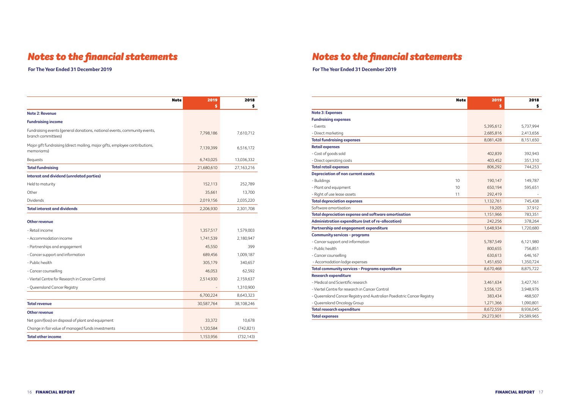|                                                                        | <b>Note</b> | 2019<br>Ś  | 2018<br>\$ |
|------------------------------------------------------------------------|-------------|------------|------------|
| <b>Note 3: Expenses</b>                                                |             |            |            |
| <b>Fundraising expenses</b>                                            |             |            |            |
| - Events                                                               |             | 5,395,612  | 5,737,994  |
| - Direct marketing                                                     |             | 2,685,816  | 2,413,656  |
| <b>Total fundraising expenses</b>                                      |             | 8,081,428  | 8,151,650  |
| <b>Retail expenses</b>                                                 |             |            |            |
| - Cost of goods sold                                                   |             | 402,839    | 392,943    |
| - Direct operating costs                                               |             | 403,452    | 351,310    |
| <b>Total retail expenses</b>                                           |             | 806,292    | 744,253    |
| <b>Depreciation of non current assets</b>                              |             |            |            |
| - Buildings                                                            | 10          | 190,147    | 149,787    |
| - Plant and equipment                                                  | 10          | 650,194    | 595,651    |
| - Right of use lease assets                                            | 11          | 292,419    |            |
| <b>Total depreciation expenses</b>                                     |             | 1,132,761  | 745,438    |
| Software amortisation                                                  |             | 19,205     | 37,912     |
| Total depreciation expense and software amortisation                   |             | 1,151,966  | 783,351    |
| Administration expenditure (net of re-allocation)                      |             | 242,256    | 378,264    |
| Partnership and engagement expenditure                                 |             | 1,648,934  | 1,720,680  |
| <b>Community services - programs</b>                                   |             |            |            |
| - Cancer support and information                                       |             | 5,787,549  | 6,121,980  |
| - Public health                                                        |             | 800,655    | 756,851    |
| - Cancer counselling                                                   |             | 630,613    | 646,167    |
| - Accomodation lodge expenses                                          |             | 1,451,650  | 1,350,724  |
| <b>Total community services - Programs expenditure</b>                 |             | 8,670,468  | 8,875,722  |
| <b>Research expenditure</b>                                            |             |            |            |
| - Medical and Scientific research                                      |             | 3,461,634  | 3,427,761  |
| - Viertel Centre for research in Cancer Control                        |             | 3,556,125  | 3,948,976  |
| - Queensland Cancer Registry and Australian Paediatric Cancer Registry |             | 383,434    | 468,507    |
| - Queensland Oncology Group                                            |             | 1,271,366  | 1,090,801  |
| <b>Total research expenditure</b>                                      |             | 8,672,559  | 8,936,045  |
| <b>Total expenses</b>                                                  |             | 29,273,901 | 29,589,965 |



## *Notes to the financial statements*

#### **For The Year Ended 31 December 2019**

|                                                                                                 | <b>Note</b> | 2019<br>S  | 2018       |
|-------------------------------------------------------------------------------------------------|-------------|------------|------------|
| <b>Note 2: Revenue</b>                                                                          |             |            |            |
| <b>Fundraising income</b>                                                                       |             |            |            |
| Fundraising events (general donations, national events, community events,<br>branch committees) |             | 7,798,186  | 7,610,712  |
| Major gift fundraising (direct mailing, major gifts, employee contributions,<br>memoriams)      |             | 7,139,399  | 6,516,172  |
| <b>Bequests</b>                                                                                 |             | 6,743,025  | 13,036,332 |
| <b>Total fundraising</b>                                                                        |             | 21,680,610 | 27,163,216 |
| <b>Interest and dividend (unrelated parties)</b>                                                |             |            |            |
| Held to maturity                                                                                |             | 152,113    | 252,789    |
| Other                                                                                           |             | 35,661     | 13,700     |
| Dividends                                                                                       |             | 2,019,156  | 2,035,220  |
| <b>Total interest and dividends</b>                                                             |             | 2,206,930  | 2,301,708  |
| <b>Other revenue</b>                                                                            |             |            |            |
| - Retail income                                                                                 |             | 1,357,517  | 1,579,003  |
| - Accommodation income                                                                          |             | 1,741,539  | 2,180,947  |
| - Partnerships and engagement                                                                   |             | 45,550     | 399        |
| - Cancer support and information                                                                |             | 689,456    | 1,009,187  |
| - Public health                                                                                 |             | 305,179    | 340,657    |
| - Cancer counselling                                                                            |             | 46,053     | 62,592     |
| - Viertel Centre for Research in Cancer Control                                                 |             | 2,514,930  | 2,159,637  |
| - Queensland Cancer Registry                                                                    |             |            | 1,310,900  |
|                                                                                                 |             | 6,700,224  | 8,643,323  |
| <b>Total revenue</b>                                                                            |             | 30,587,764 | 38,108,246 |
| <b>Other revenue</b>                                                                            |             |            |            |
| Net gain/(loss) on disposal of plant and equipment                                              |             | 33,372     | 10,678     |
| Change in fair value of managed funds investments                                               |             | 1,120,584  | (742, 821) |
| <b>Total other income</b>                                                                       |             | 1,153,956  | (732, 143) |

## *Notes to the financial statements*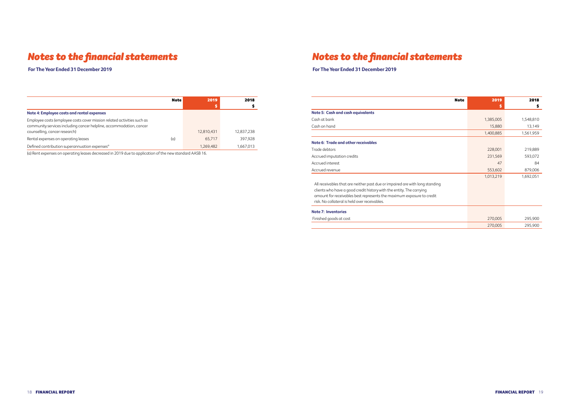| <b>Note</b>                                                                                                                                                                                                                                                                    | 2019      | 2018      |
|--------------------------------------------------------------------------------------------------------------------------------------------------------------------------------------------------------------------------------------------------------------------------------|-----------|-----------|
|                                                                                                                                                                                                                                                                                | S         | s         |
| <b>Note 5: Cash and cash equivalents</b>                                                                                                                                                                                                                                       |           |           |
| Cash at bank                                                                                                                                                                                                                                                                   | 1,385,005 | 1,548,810 |
| Cash on hand                                                                                                                                                                                                                                                                   | 15,880    | 13,149    |
|                                                                                                                                                                                                                                                                                | 1,400,885 | 1,561,959 |
| Note 6: Trade and other receivables                                                                                                                                                                                                                                            |           |           |
| Trade debtors                                                                                                                                                                                                                                                                  | 228,001   | 219,889   |
| Accrued imputation credits                                                                                                                                                                                                                                                     | 231,569   | 593,072   |
| Accrued interest                                                                                                                                                                                                                                                               | 47        | 84        |
| Accrued revenue                                                                                                                                                                                                                                                                | 553,602   | 879,006   |
|                                                                                                                                                                                                                                                                                | 1,013,219 | 1,692,051 |
| All receivables that are neither past due or impaired are with long standing<br>clients who have a good credit history with the entity. The carrying<br>amount for receivables best represents the maximum exposure to credit<br>risk. No collateral is held over receivables. |           |           |
| <b>Note 7: Inventories</b>                                                                                                                                                                                                                                                     |           |           |
| Finished goods at cost                                                                                                                                                                                                                                                         | 270,005   | 295,900   |
|                                                                                                                                                                                                                                                                                | 270,005   | 295,900   |



### *Notes to the financial statements*

#### **For The Year Ended 31 December 2019**

|                                                                                                                                                                                 | <b>Note</b> | 2019       | 2018       |
|---------------------------------------------------------------------------------------------------------------------------------------------------------------------------------|-------------|------------|------------|
| Note 4: Employee costs and rental expenses                                                                                                                                      |             |            |            |
| Employee costs (employee costs cover mission related activities such as<br>community services including cancer helpline, accommodation, cancer<br>counselling, cancer research) |             | 12.810.431 | 12,837,238 |
| Rental expenses on operating leases                                                                                                                                             | (a)         | 65.717     | 397.928    |
| Defined contribution superannuation expenses*                                                                                                                                   |             | 1,269,482  | 1.667.013  |

(a) Rent expenses on operating leases decreased in 2019 due to application of the new standard AASB 16.

### *Notes to the financial statements*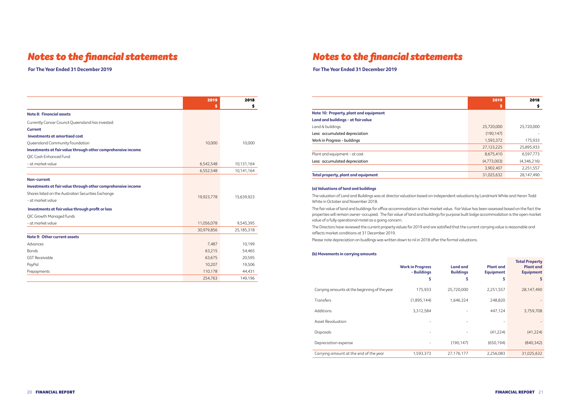|                                                                                                                                                                                                                                                                                                                                                                                                                                                                                                                                                                                                                                                                                   |                                              |                                           | 2019<br>S                                  | 2018<br>s                                                           |
|-----------------------------------------------------------------------------------------------------------------------------------------------------------------------------------------------------------------------------------------------------------------------------------------------------------------------------------------------------------------------------------------------------------------------------------------------------------------------------------------------------------------------------------------------------------------------------------------------------------------------------------------------------------------------------------|----------------------------------------------|-------------------------------------------|--------------------------------------------|---------------------------------------------------------------------|
| Note 10: Property, plant and equipment                                                                                                                                                                                                                                                                                                                                                                                                                                                                                                                                                                                                                                            |                                              |                                           |                                            |                                                                     |
| Land and buildings - at fair value                                                                                                                                                                                                                                                                                                                                                                                                                                                                                                                                                                                                                                                |                                              |                                           |                                            |                                                                     |
| Land & buildings                                                                                                                                                                                                                                                                                                                                                                                                                                                                                                                                                                                                                                                                  |                                              |                                           | 25,720,000                                 | 25,720,000                                                          |
| Less: accumulated depreciation                                                                                                                                                                                                                                                                                                                                                                                                                                                                                                                                                                                                                                                    |                                              |                                           | (190, 147)                                 |                                                                     |
| Work in Progress - buildings                                                                                                                                                                                                                                                                                                                                                                                                                                                                                                                                                                                                                                                      |                                              |                                           | 1,593,372                                  | 175,933                                                             |
|                                                                                                                                                                                                                                                                                                                                                                                                                                                                                                                                                                                                                                                                                   |                                              |                                           | 27,123,225                                 | 25,895,933                                                          |
| Plant and equipment - at cost                                                                                                                                                                                                                                                                                                                                                                                                                                                                                                                                                                                                                                                     |                                              |                                           | 8,675,410                                  | 6,597,773                                                           |
| Less: accumulated depreciation                                                                                                                                                                                                                                                                                                                                                                                                                                                                                                                                                                                                                                                    |                                              |                                           | (4,773,003)                                | (4,346,216)                                                         |
|                                                                                                                                                                                                                                                                                                                                                                                                                                                                                                                                                                                                                                                                                   |                                              |                                           | 3,902,407                                  | 2,251,557                                                           |
| <b>Total property, plant and equipment</b>                                                                                                                                                                                                                                                                                                                                                                                                                                                                                                                                                                                                                                        |                                              |                                           | 31,025,632                                 | 28,147,490                                                          |
| White in October and November 2018.<br>The fair value of land and buildings for office accommodation is their market value. Fair Value has been assessed based on the fact the<br>properties will remain owner-occupied. The fair value of land and buildings for purpose built lodge accommodation is the open market<br>value of a fully operational motel as a going concern.<br>The Directors have reviewed the current property values for 2019 and are satisfied that the current carrying value is reasonable and<br>reflects market conditions at 31 December 2019.<br>Please note depreciation on buidlings was written down to nil in 2018 after the formal valuations. |                                              |                                           |                                            |                                                                     |
| (b) Movements in carrying amounts                                                                                                                                                                                                                                                                                                                                                                                                                                                                                                                                                                                                                                                 |                                              |                                           |                                            |                                                                     |
|                                                                                                                                                                                                                                                                                                                                                                                                                                                                                                                                                                                                                                                                                   | <b>Work in Progress</b><br>- Buildings<br>\$ | <b>Land and</b><br><b>Buildings</b><br>\$ | <b>Plant and</b><br><b>Equipment</b><br>\$ | <b>Total Property</b><br><b>Plant and</b><br><b>Equipment</b><br>\$ |
| Carrying amounts at the beginning of the year                                                                                                                                                                                                                                                                                                                                                                                                                                                                                                                                                                                                                                     | 175,933                                      | 25,720,000                                | 2,251,557                                  | 28,147,490                                                          |
| Transfers                                                                                                                                                                                                                                                                                                                                                                                                                                                                                                                                                                                                                                                                         | (1,895,144)                                  | 1,646,324                                 | 248,820                                    |                                                                     |
| Additions                                                                                                                                                                                                                                                                                                                                                                                                                                                                                                                                                                                                                                                                         | 3,312,584                                    |                                           | 447,124                                    | 3,759,708                                                           |
| Asset Revaluation                                                                                                                                                                                                                                                                                                                                                                                                                                                                                                                                                                                                                                                                 |                                              |                                           |                                            |                                                                     |
| Disposals                                                                                                                                                                                                                                                                                                                                                                                                                                                                                                                                                                                                                                                                         |                                              |                                           | (41, 224)                                  | (41, 224)                                                           |
| Depreciation expense                                                                                                                                                                                                                                                                                                                                                                                                                                                                                                                                                                                                                                                              |                                              | (190, 147)                                | (650, 194)                                 | (840, 342)                                                          |
| Carrying amount at the end of the year                                                                                                                                                                                                                                                                                                                                                                                                                                                                                                                                                                                                                                            | 1,593,373                                    | 27,176,177                                | 2,256,083                                  | 31,025,632                                                          |



## *Notes to the financial statements*

#### **For The Year Ended 31 December 2019**

|                                                              | 2019<br>\$ | 2018<br>s  |
|--------------------------------------------------------------|------------|------------|
| <b>Note 8: Financial assets</b>                              |            |            |
| Currently Cancer Council Queensland has invested:            |            |            |
| <b>Current</b>                                               |            |            |
| Investments at amortised cost                                |            |            |
| Queensland Community Foundation                              | 10,000     | 10,000     |
| Investments at fair value through other comprehensive income |            |            |
| QIC Cash Enhanced Fund                                       |            |            |
| - at market value                                            | 6,542,548  | 10,131,164 |
|                                                              | 6,552,548  | 10,141,164 |
| Non-current                                                  |            |            |
| Investments at fair value through other comprehensive income |            |            |
| Shares listed on the Australian Securities Exchange          |            |            |
| - at market value                                            | 19,923,778 | 15,639,923 |
| Investments at fair value through profit or loss             |            |            |
| QIC Growth Managed funds                                     |            |            |
| - at market value                                            | 11,056,078 | 9,545,395  |
|                                                              | 30,979,856 | 25,185,318 |
| <b>Note 9: Other current assets</b>                          |            |            |
| Advances                                                     | 7,487      | 10,199     |
| <b>Bonds</b>                                                 | 63,215     | 54,465     |
| <b>GST Receivable</b>                                        | 63,675     | 20,595     |
| PayPal                                                       | 10,207     | 19,506     |
| Prepayments                                                  | 110,178    | 44,431     |
|                                                              | 254,763    | 149,196    |

## *Notes to the financial statements*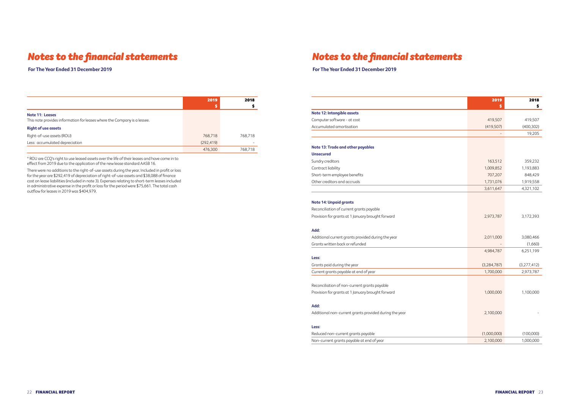#### **Note 12: Intangible assets**

Computer software - at cost Accumulated amortisation

#### **Note 13: Trade and other payables**

#### **Unsecured**

Sundry creditors Contract liability Short-term employee benefits Other creditors and accruals

Reconciliation of current grants payable Provision for grants at 1 January brought forward

| 2019<br>Ś              | 2018<br>Ś              |
|------------------------|------------------------|
|                        |                        |
| 419,507                | 419,507                |
| (419, 507)             | (400, 302)             |
|                        | 19,205                 |
|                        |                        |
|                        |                        |
|                        | 359,232                |
| 163,512                |                        |
| 1,009,852<br>707,207   | 1,193,883<br>848,429   |
|                        |                        |
| 1,731,076<br>3,611,647 | 1,919,558<br>4,321,102 |
|                        |                        |
|                        |                        |
| 2,973,787              | 3,172,393              |
| 2,011,000              | 3,080,466              |
|                        | (1,660)                |
| 4,984,787              | 6,251,199              |
|                        |                        |
| (3,284,787)            | (3,277,412)            |
| 1,700,000              | 2,973,787              |
|                        |                        |
| 1,000,000              | 1,100,000              |
| 2,100,000              |                        |
| (1,000,000)            | (100,000)              |
| 2,100,000              | 1,000,000              |

Reconciliation of non-current grants payable Provision for grants at 1 January brought forward

#### **Note 14: Unpaid grants**

#### **Add:**

Additional current grants provided during the year Grants written back or refunded

#### **Less:**

Grants paid during the year Current grants payable at end of year

#### **Add:**

Additional non-current grants provided during the year

#### **Less:**

Reduced non-current grants payable Non-current grants payable at end of year



### *Notes to the financial statements*

#### **For The Year Ended 31 December 2019**

|                                                                                                    | 2019       | 2018    |
|----------------------------------------------------------------------------------------------------|------------|---------|
|                                                                                                    | S          |         |
| <b>Note 11: Leases</b><br>This note provides information for leases where the Company is a lessee. |            |         |
| <b>Right of use assets</b>                                                                         |            |         |
| Right-of-use assets (ROU)                                                                          | 768,718    | 768,718 |
| Less: accumulated depreciation                                                                     | (292, 419) |         |
|                                                                                                    | 476,300    | 768,718 |

\* ROU are CCQ's right to use leased assets over the life of their leases and have come in to effect from 2019 due to the application of the new lease standard AASB 16.

There were no additions to the right-of-use assets during the year. Included in profit or loss for the year are \$292,419 of depreciation of right-of-use assets and \$38,088 of finance cost on lease liabilities (included in note 3). Expenses relating to short-term leases included in administrative expense in the profit or loss for the period were \$75,661. The total cash outflow for leases in 2019 was \$404,979.

### *Notes to the financial statements*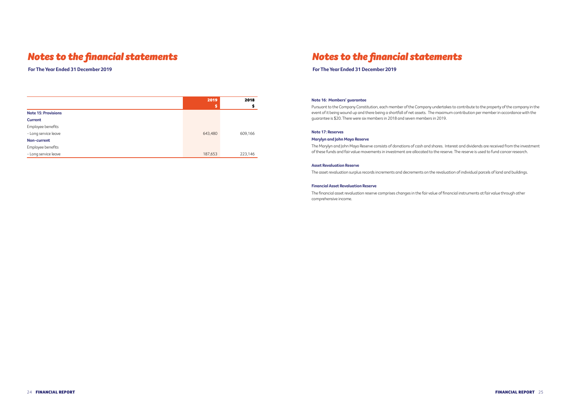#### **Note 16: Members' guarantee**

Pursuant to the Company Constitution, each member of the Company undertakes to contribute to the property of the company in the event of it being wound up and there being a shortfall of net assets. The maximum contribution per member in accordance with the guarantee is \$20. There were six members in 2018 and seven members in 2019.

#### **Note 17: Reserves**

#### **Marylyn and John Mayo Reserve**

The Marylyn and John Mayo Reserve consists of donations of cash and shares. Interest and dividends are received from the investment of these funds and fair value movements in investment are allocated to the reserve. The reserve is used to fund cancer research.

#### **Asset Revaluation Reserve**

The asset revaluation surplus records increments and decrements on the revaluation of individual parcels of land and buildings.

#### **Financial Asset Revaluation Reserve**

The financial asset revaluation reserve comprises changes in the fair value of financial instruments at fair value through other comprehensive income.



### *Notes to the financial statements*

#### **For The Year Ended 31 December 2019**

|                            | 2019    | 2018    |
|----------------------------|---------|---------|
|                            | '\$     | э       |
| <b>Note 15: Provisions</b> |         |         |
| <b>Current</b>             |         |         |
| Employee benefits          |         |         |
| - Long service leave       | 643,480 | 609,166 |
| Non-current                |         |         |
| Employee benefits          |         |         |
| - Long service leave       | 187,653 | 223,146 |

### *Notes to the financial statements*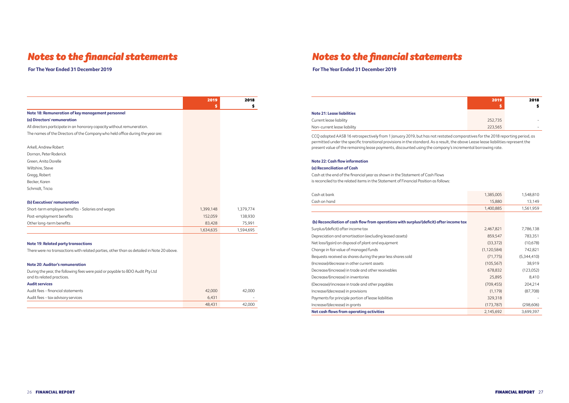| 2019    | 2018 |
|---------|------|
|         |      |
| 252,735 |      |
| 223,565 |      |

| <b>Note 21: Lease liabilities</b>                                                                                                                                                                                                                                                                                                                                               |         |  |
|---------------------------------------------------------------------------------------------------------------------------------------------------------------------------------------------------------------------------------------------------------------------------------------------------------------------------------------------------------------------------------|---------|--|
| Current lease liability                                                                                                                                                                                                                                                                                                                                                         | 252.735 |  |
| Non-current lease liability                                                                                                                                                                                                                                                                                                                                                     | 223,565 |  |
| CCQ adopted AASB 16 retrospectively from 1 January 2019, but has not restated comparatives for the 2018 reporting period, as<br>permitted under the specific transitional provisions in the standard. As a result, the above Lease lease liabilities represent the<br>present value of the remaining lease payments, discounted using the company's incremental borrowing rate. |         |  |
| <b>Note 22: Cash flow information</b>                                                                                                                                                                                                                                                                                                                                           |         |  |

#### **(a) Reconciliation of Cash**

Cash at the end of the financial year as shown in the Statement of Cash Flows is reconciled to the related items in the Statement of Financial Position as follows:

Cash on hand

#### **(b) Reconciliation of cash flow from operations with surplus/(deficit)**

| Net cash flows from operating activities                     |
|--------------------------------------------------------------|
| Increase/(decrease) in grants                                |
| Payments for principle portion of lease liabilities          |
| Increase/(decrease) in provisions                            |
| (Decrease)/increase in trade and other payables              |
| Decrease/(increase) in inventories                           |
| Decrease/(increase) in trade and other receivables           |
| (Increase)/decrease in other current assets                  |
| Bequests received as shares during the year less shares sold |
| Change in fair value of managed funds                        |
| Net loss/(gain) on disposal of plant and equipment           |
| Depreciation and amortisation (excluding leased assets)      |
| Surplus/(deficit) after income tax                           |



| Cash at bank                                                                            | 1,385,005     | 1,548,810   |
|-----------------------------------------------------------------------------------------|---------------|-------------|
| Cash on hand                                                                            | 15,880        | 13,149      |
|                                                                                         | 1,400,885     | 1,561,959   |
|                                                                                         |               |             |
| (b) Reconciliation of cash flow from operations with surplus/(deficit) after income tax |               |             |
| Surplus/(deficit) after income tax                                                      | 2,467,821     | 7,786,138   |
| Depreciation and amortisation (excluding leased assets)                                 | 859,547       | 783,351     |
| Net loss/(gain) on disposal of plant and equipment                                      | (33, 372)     | (10,678)    |
| Change in fair value of managed funds                                                   | (1, 120, 584) | 742,821     |
| Bequests received as shares during the year less shares sold                            | (71, 775)     | (5,344,410) |
| (Increase)/decrease in other current assets                                             | (105, 567)    | 38,919      |
| Decrease/(increase) in trade and other receivables                                      | 678,832       | (123,052)   |
| Decrease/(increase) in inventories                                                      | 25,895        | 8,410       |
| (Decrease)/increase in trade and other payables                                         | (709, 455)    | 204,214     |
| Increase/(decrease) in provisions                                                       | (1, 179)      | (87,708)    |
| Payments for principle portion of lease liabilities                                     | 329,318       |             |
| Increase/(decrease) in grants                                                           | (173, 787)    | (298, 606)  |
| Net cash flows from operating activities                                                | 2,145,692     | 3,699,397   |

### *Notes to the financial statements*

#### **For The Year Ended 31 December 2019**

|                                                                                                             | 2019<br>\$ | 2018      |
|-------------------------------------------------------------------------------------------------------------|------------|-----------|
| Note 18: Remuneration of key management personnel                                                           |            |           |
| (a) Directors' remuneration                                                                                 |            |           |
| All directors participate in an honorary capacity without remuneration.                                     |            |           |
| The names of the Directors of the Company who held office during the year are:                              |            |           |
| Arkell, Andrew Robert                                                                                       |            |           |
| Dornan, Peter Roderick                                                                                      |            |           |
| Green, Anita Dorelle                                                                                        |            |           |
| Wiltshire, Steve                                                                                            |            |           |
| Gregg, Robert                                                                                               |            |           |
| Becker, Karen                                                                                               |            |           |
| Schmidt, Tricia                                                                                             |            |           |
| (b) Executives' remuneration                                                                                |            |           |
| Short-term employee benefits - Salaries and wages                                                           | 1,399,148  | 1,379,774 |
| Post-employment benefits                                                                                    | 152,059    | 138,930   |
| Other long-term benefits                                                                                    | 83,428     | 75,991    |
|                                                                                                             | 1,634,635  | 1,594,695 |
| <b>Note 19: Related party transactions</b>                                                                  |            |           |
| There were no transactions with related parties, other than as detailed in Note 20 above.                   |            |           |
| <b>Note 20: Auditor's remuneration</b>                                                                      |            |           |
| During the year, the following fees were paid or payable to BDO Audit Pty Ltd<br>and its related practices. |            |           |
| <b>Audit services</b>                                                                                       |            |           |
| Audit fees - financial statements                                                                           | 42,000     | 42,000    |
| Audit fees - tax advisory services                                                                          | 6,431      |           |
|                                                                                                             | 48,431     | 42,000    |

### *Notes to the financial statements*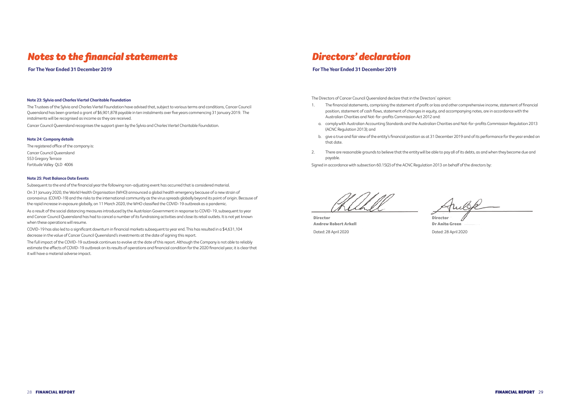### *Directors' declaration*

#### **For The Year Ended 31 December 2019**

The Directors of Cancer Council Queensland declare that in the Directors' opinion:

- 1. The financial statements, comprising the statement of profit or loss and other comprehensive income, statement of financial position, statement of cash flows, statement of changes in equity, and accompanying notes, are in accordance with the Australian Charities and Not-for-profits Commission Act 2012 and:
	- a. comply with Australian Accounting Standards and the Australian Charities and Not-for-profits Commission Regulation 2013 (ACNC Regulation 2013); and
	- b. give a true and fair view of the entity's financial position as at 31 December 2019 and of its performance for the year ended on that date.
- 2. There are reasonable grounds to believe that the entity will be able to pay all of its debts, as and when they become due and payable.

Signed in accordance with subsection 60.15(2) of the ACNC Regulation 2013 on behalf of the directors by:

Director Dr Anita Green

Director Andrew Robert Arkell Dated: 28 April 2020 Dated: 28 April 2020

#### **Note 23: Sylvia and Charles Viertel Charitable Foundation**

The Trustees of the Sylvia and Charles Viertel Foundation have advised that, subject to various terms and conditions, Cancer Council Queensland has been granted a grant of \$6,901,878 payable in ten instalments over five years commencing 31 January 2019. The instalments will be recognised as income as they are received.

Cancer Council Queensland recognises the support given by the Sylvia and Charles Viertel Charitable Foundation.

#### **Note 24: Company details**

The registered office of the company is:

Cancer Council Queensland 553 Gregory Terrace Fortitude Valley QLD 4006

#### **Note 25: Post Balance Date Events**

Subsequent to the end of the financial year the following non-adjusting event has occurred that is considered material.

On 31 January 2020, the World Health Organisation (WHO) announced a global health emergency because of a new strain of coronavirus (COVID-19) and the risks to the international community as the virus spreads globally beyond its point of origin. Because of the rapid increase in exposure globally, on 11 March 2020, the WHO classified the COVID-19 outbreak as a pandemic.

As a result of the social distancing measures introduced by the Austrlaian Government in response to COVID-19, subsequent to year end Cancer Council Queensland has had to cancel a number of its fundraising activities and close its retail outlets. It is not yet known when these operations will resume.

COVID-19 has also led to a significant downturn in financial markets subsequent to year end. This has resulted in a \$4,631,104 decrease in the value of Cancer Council Queensland's investments at the date of signing this report.

The full impact of the COVID-19 outbreak continues to evolve at the date of this report. Although the Company is not able to reliably estimate the effects of COVID-19 outbreak on its results of operations and financial condition for the 2020 financial year, it is clear that it will have a material adverse impact.

### *Notes to the financial statements*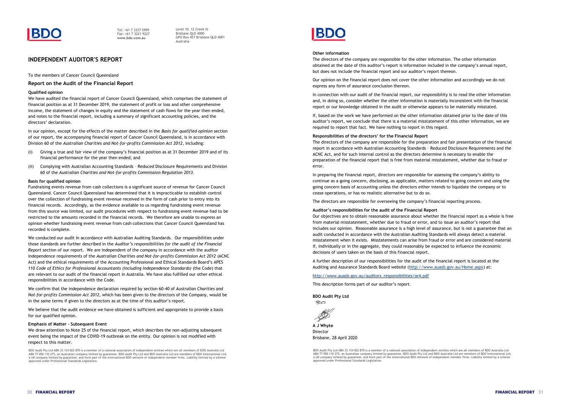Level 10, 12 Creek St Brisbane QLD 4000 GPO Box 457 Brisbane QLD 4001 Australia



Tel: +61 7 3237 5999 Fax: +61 7 3221 9227 **www.bdo.com.au**

BDO Audit Pty Ltd ABN 33 134 022 870 is a member of a national association of independent entities which are all members of BDO Australia Ltd ABN 77 050 110 275, an Australian company limited by guarantee. BDO Audit Pty Ltd and BDO Australia Ltd are members of BDO International Ltd,<br>a UK company limited by guarantee, and form part of the international BDO networ approved under Professional Standards Legislation.



#### **INDEPENDENT AUDITOR'S REPORT**

To the members of Cancer Council Queensland

#### **Report on the Audit of the Financial Report**

#### **Qualified opinion**

We have audited the financial report of Cancer Council Queensland, which comprises the statement of financial position as at 31 December 2019, the statement of profit or loss and other comprehensive income, the statement of changes in equity and the statement of cash flows for the year then ended, and notes to the financial report, including a summary of significant accounting policies, and the directors' declaration.

In our opinion, except for the effects of the matter described in the *Basis for qualified opinion* section of our report, the accompanying financial report of Cancer Council Queensland, is in accordance with Division 60 of the *Australian Charities and Not-for-profits Commission Act 2012*, including:

- (i) Giving a true and fair view of the company's financial position as at 31 December 2019 and of its financial performance for the year then ended; and
- (ii) Complying with Australian Accounting Standards Reduced Disclosure Requirements and Division 60 of the *Australian Charities and Not-for-profits Commission Regulation 2013*.

#### **Basis for qualified opinion**

We believe that the audit evidence we have obtained is sufficient and appropriate to provide a basis for our qualified opinion.

Fundraising events revenue from cash collections is a significant source of revenue for Cancer Council Queensland. Cancer Council Queensland has determined that it is impracticable to establish control over the collection of fundraising event revenue received in the form of cash prior to entry into its financial records. Accordingly, as the evidence available to us regarding fundraising event revenue from this source was limited, our audit procedures with respect to fundraising event revenue had to be restricted to the amounts recorded in the financial records. We therefore are unable to express an opinion whether fundraising event revenue from cash collections that Cancer Council Queensland has recorded is complete.

> BDO Audit Pty Ltd ABN 33 134 022 870 is a member of a national association of independent entities which are all members of BDO Australia Ltd<br>ABN 77 050 110 275, an Australian company limited by guarantee. BDO Audit Pty Lt a UK company limited by guarantee, and form part of the international BDO network of independent member firms. Liability limited by a scheme approved under Professional Standards Legislation.

We conducted our audit in accordance with Australian Auditing Standards. Our responsibilities under those standards are further described in the *Auditor's responsibilities for the audit of the Financial Report* section of our report. We are independent of the company in accordance with the auditor independence requirements of the *Australian Charities and Not-for-profits Commission Act 2012* (ACNC Act) and the ethical requirements of the Accounting Professional and Ethical Standards Board's APES 110 *Code of Ethics for Professional Accountants (including Independence Standards)* (the Code) that are relevant to our audit of the financial report in Australia. We have also fulfilled our other ethical responsibilities in accordance with the Code.

We confirm that the independence declaration required by section 60-40 of *Australian Charities and Not-for-profits Commission Act 2012*, which has been given to the directors of the Company, would be in the same terms if given to the directors as at the time of this auditor's report.

**BDO Audit Pty Ltd RNO** 

#### **Emphasis of Matter – Subsequent Event**

We draw attention to Note 25 of the financial report, which describes the non-adjusting subsequent event being the impact of the COVID-19 outbreak on the entity. Our opinion is not modified with respect to this matter.

#### **Other information**

The directors of the company are responsible for the other information. The other information obtained at the date of this auditor's report is information included in the company's annual report, but does not include the financial report and our auditor's report thereon.

Our opinion on the financial report does not cover the other information and accordingly we do not express any form of assurance conclusion thereon.

In connection with our audit of the financial report, our responsibility is to read the other information and, in doing so, consider whether the other information is materially inconsistent with the financial report or our knowledge obtained in the audit or otherwise appears to be materially misstated.

If, based on the work we have performed on the other information obtained prior to the date of this auditor's report, we conclude that there is a material misstatement of this other information, we are required to report that fact. We have nothing to report in this regard.

**Responsibilities of the directors' for the Financial Report** 

The directors of the company are responsible for the preparation and fair presentation of the financial report in accordance with Australian Accounting Standards – Reduced Disclosure Requirements and the ACNC Act, and for such internal control as the directors determine is necessary to enable the preparation of the financial report that is free from material misstatement, whether due to fraud or error.

In preparing the financial report, directors are responsible for assessing the company's ability to continue as a going concern, disclosing, as applicable, matters related to going concern and using the going concern basis of accounting unless the directors either intends to liquidate the company or to cease operations, or has no realistic alternative but to do so.

The directors are responsible for overseeing the company's financial reporting process.

**Auditor's responsibilities for the audit of the Financial Report**  Our objectives are to obtain reasonable assurance about whether the financial report as a whole is free from material misstatement, whether due to fraud or error, and to issue an auditor's report that includes our opinion. Reasonable assurance is a high level of assurance, but is not a guarantee that an audit conducted in accordance with the Australian Auditing Standards will always detect a material misstatement when it exists. Misstatements can arise from fraud or error and are considered material if, individually or in the aggregate, they could reasonably be expected to influence the economic decisions of users taken on the basis of this financial report.

A further description of our responsibilities for the audit of the financial report is located at the Auditing and Assurance Standards Board website (http://www.auasb.gov.au/Home.aspx) at:

http://www.auasb.gov.au/auditors\_responsibilities/ar4.pdf

This description forms part of our auditor's report.

**A J Whyte** Director Brisbane, 28 April 2020